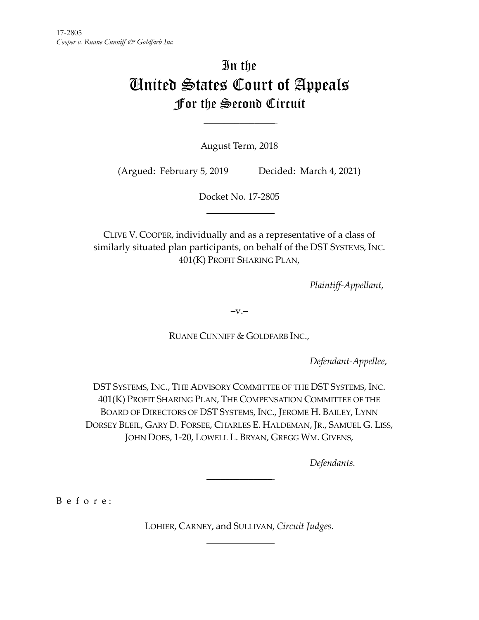# In the United States Court of Appeals For the Second Circuit

August Term, 2018

 $\mathcal{L}_\text{max}$ 

(Argued: February 5, 2019 Decided: March 4, 2021)

Docket No. 17-2805  $\frac{1}{2}$ 

CLIVE V. COOPER, individually and as a representative of a class of similarly situated plan participants, on behalf of the DST SYSTEMS, INC. 401(K) PROFIT SHARING PLAN,

*Plaintiff-Appellant*,

 $-v.$ 

RUANE CUNNIFF & GOLDFARB INC.,

*Defendant-Appellee*,

DST SYSTEMS, INC., THE ADVISORY COMMITTEE OF THE DST SYSTEMS, INC. 401(K) PROFIT SHARING PLAN, THE COMPENSATION COMMITTEE OF THE BOARD OF DIRECTORS OF DST SYSTEMS, INC., JEROME H. BAILEY, LYNN DORSEY BLEIL, GARY D. FORSEE, CHARLES E. HALDEMAN, JR., SAMUEL G. LISS, JOHN DOES, 1-20, LOWELL L. BRYAN, GREGG WM. GIVENS,

*Defendants.*

B e f o r e :

LOHIER, CARNEY, and SULLIVAN, *Circuit Judges*.  $\frac{1}{2}$ 

 $\overline{\phantom{a}}$  , where  $\overline{\phantom{a}}$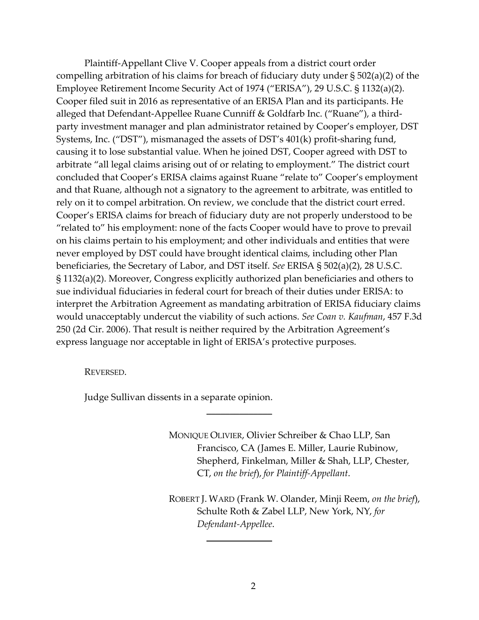Plaintiff-Appellant Clive V. Cooper appeals from a district court order compelling arbitration of his claims for breach of fiduciary duty under § 502(a)(2) of the Employee Retirement Income Security Act of 1974 ("ERISA"), 29 U.S.C. § 1132(a)(2). Cooper filed suit in 2016 as representative of an ERISA Plan and its participants. He alleged that Defendant-Appellee Ruane Cunniff & Goldfarb Inc. ("Ruane"), a thirdparty investment manager and plan administrator retained by Cooper's employer, DST Systems, Inc. ("DST"), mismanaged the assets of DST's 401(k) profit-sharing fund, causing it to lose substantial value. When he joined DST, Cooper agreed with DST to arbitrate "all legal claims arising out of or relating to employment." The district court concluded that Cooper's ERISA claims against Ruane "relate to" Cooper's employment and that Ruane, although not a signatory to the agreement to arbitrate, was entitled to rely on it to compel arbitration. On review, we conclude that the district court erred. Cooper's ERISA claims for breach of fiduciary duty are not properly understood to be "related to" his employment: none of the facts Cooper would have to prove to prevail on his claims pertain to his employment; and other individuals and entities that were never employed by DST could have brought identical claims, including other Plan beneficiaries, the Secretary of Labor, and DST itself. *See* ERISA § 502(a)(2), 28 U.S.C. § 1132(a)(2). Moreover, Congress explicitly authorized plan beneficiaries and others to sue individual fiduciaries in federal court for breach of their duties under ERISA: to interpret the Arbitration Agreement as mandating arbitration of ERISA fiduciary claims would unacceptably undercut the viability of such actions. *See Coan v. Kaufman*, 457 F.3d 250 (2d Cir. 2006). That result is neither required by the Arbitration Agreement's express language nor acceptable in light of ERISA's protective purposes.

 $\overline{\phantom{a}}$  , where  $\overline{\phantom{a}}$ 

REVERSED.

Judge Sullivan dissents in a separate opinion.

MONIQUE OLIVIER, Olivier Schreiber & Chao LLP, San Francisco, CA (James E. Miller, Laurie Rubinow, Shepherd, Finkelman, Miller & Shah, LLP, Chester, CT, *on the brief*), *for Plaintiff-Appellant*.

ROBERT J. WARD (Frank W. Olander, Minji Reem, *on the brief*), Schulte Roth & Zabel LLP, New York, NY, *for Defendant-Appellee*.

 $\mathcal{L}$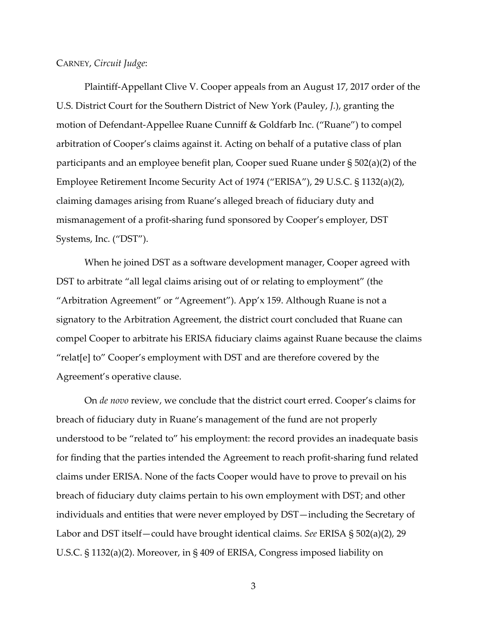CARNEY, *Circuit Judge*:

Plaintiff-Appellant Clive V. Cooper appeals from an August 17, 2017 order of the U.S. District Court for the Southern District of New York (Pauley, *J.*), granting the motion of Defendant-Appellee Ruane Cunniff & Goldfarb Inc. ("Ruane") to compel arbitration of Cooper's claims against it. Acting on behalf of a putative class of plan participants and an employee benefit plan, Cooper sued Ruane under § 502(a)(2) of the Employee Retirement Income Security Act of 1974 ("ERISA"), 29 U.S.C. § 1132(a)(2), claiming damages arising from Ruane's alleged breach of fiduciary duty and mismanagement of a profit-sharing fund sponsored by Cooper's employer, DST Systems, Inc. ("DST").

When he joined DST as a software development manager, Cooper agreed with DST to arbitrate "all legal claims arising out of or relating to employment" (the "Arbitration Agreement" or "Agreement"). App'x 159. Although Ruane is not a signatory to the Arbitration Agreement, the district court concluded that Ruane can compel Cooper to arbitrate his ERISA fiduciary claims against Ruane because the claims "relat[e] to" Cooper's employment with DST and are therefore covered by the Agreement's operative clause.

On *de novo* review, we conclude that the district court erred. Cooper's claims for breach of fiduciary duty in Ruane's management of the fund are not properly understood to be "related to" his employment: the record provides an inadequate basis for finding that the parties intended the Agreement to reach profit-sharing fund related claims under ERISA. None of the facts Cooper would have to prove to prevail on his breach of fiduciary duty claims pertain to his own employment with DST; and other individuals and entities that were never employed by DST—including the Secretary of Labor and DST itself—could have brought identical claims. *See* ERISA § 502(a)(2), 29 U.S.C. § 1132(a)(2). Moreover, in § 409 of ERISA, Congress imposed liability on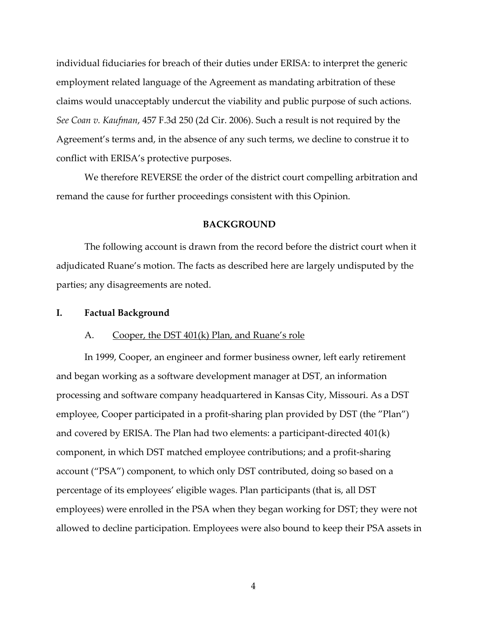individual fiduciaries for breach of their duties under ERISA: to interpret the generic employment related language of the Agreement as mandating arbitration of these claims would unacceptably undercut the viability and public purpose of such actions. *See Coan v. Kaufman*, 457 F.3d 250 (2d Cir. 2006). Such a result is not required by the Agreement's terms and, in the absence of any such terms, we decline to construe it to conflict with ERISA's protective purposes.

We therefore REVERSE the order of the district court compelling arbitration and remand the cause for further proceedings consistent with this Opinion.

#### **BACKGROUND**

The following account is drawn from the record before the district court when it adjudicated Ruane's motion. The facts as described here are largely undisputed by the parties; any disagreements are noted.

#### **I. Factual Background**

#### A. Cooper, the DST 401(k) Plan, and Ruane's role

In 1999, Cooper, an engineer and former business owner, left early retirement and began working as a software development manager at DST, an information processing and software company headquartered in Kansas City, Missouri. As a DST employee, Cooper participated in a profit-sharing plan provided by DST (the "Plan") and covered by ERISA. The Plan had two elements: a participant-directed 401(k) component, in which DST matched employee contributions; and a profit-sharing account ("PSA") component, to which only DST contributed, doing so based on a percentage of its employees' eligible wages. Plan participants (that is, all DST employees) were enrolled in the PSA when they began working for DST; they were not allowed to decline participation. Employees were also bound to keep their PSA assets in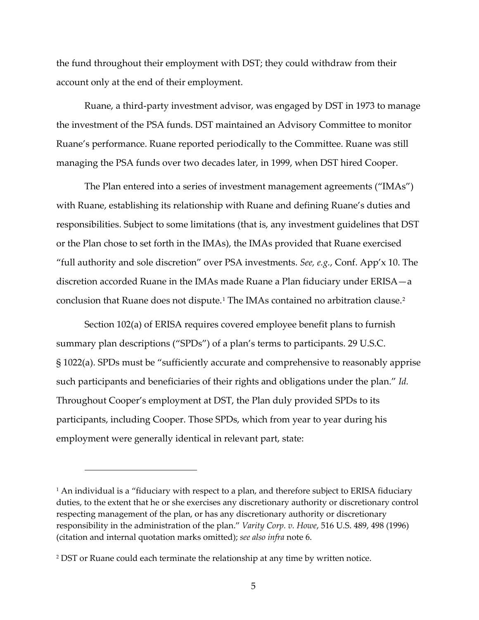the fund throughout their employment with DST; they could withdraw from their account only at the end of their employment.

Ruane, a third-party investment advisor, was engaged by DST in 1973 to manage the investment of the PSA funds. DST maintained an Advisory Committee to monitor Ruane's performance. Ruane reported periodically to the Committee. Ruane was still managing the PSA funds over two decades later, in 1999, when DST hired Cooper.

The Plan entered into a series of investment management agreements ("IMAs") with Ruane, establishing its relationship with Ruane and defining Ruane's duties and responsibilities. Subject to some limitations (that is, any investment guidelines that DST or the Plan chose to set forth in the IMAs), the IMAs provided that Ruane exercised "full authority and sole discretion" over PSA investments. *See, e.g.*, Conf. App'x 10. The discretion accorded Ruane in the IMAs made Ruane a Plan fiduciary under ERISA—a conclusion that Ruane does not dispute.[1](#page-4-0) The IMAs contained no arbitration clause.[2](#page-4-1)

Section 102(a) of ERISA requires covered employee benefit plans to furnish summary plan descriptions ("SPDs") of a plan's terms to participants. 29 U.S.C. § 1022(a). SPDs must be "sufficiently accurate and comprehensive to reasonably apprise such participants and beneficiaries of their rights and obligations under the plan." *Id.* Throughout Cooper's employment at DST, the Plan duly provided SPDs to its participants, including Cooper. Those SPDs, which from year to year during his employment were generally identical in relevant part, state:

<span id="page-4-0"></span><sup>&</sup>lt;sup>1</sup> An individual is a "fiduciary with respect to a plan, and therefore subject to ERISA fiduciary duties, to the extent that he or she exercises any discretionary authority or discretionary control respecting management of the plan, or has any discretionary authority or discretionary responsibility in the administration of the plan." *Varity Corp. v. Howe*, 516 U.S. 489, 498 (1996) (citation and internal quotation marks omitted); *see also infra* note 6.

<span id="page-4-1"></span><sup>2</sup> DST or Ruane could each terminate the relationship at any time by written notice.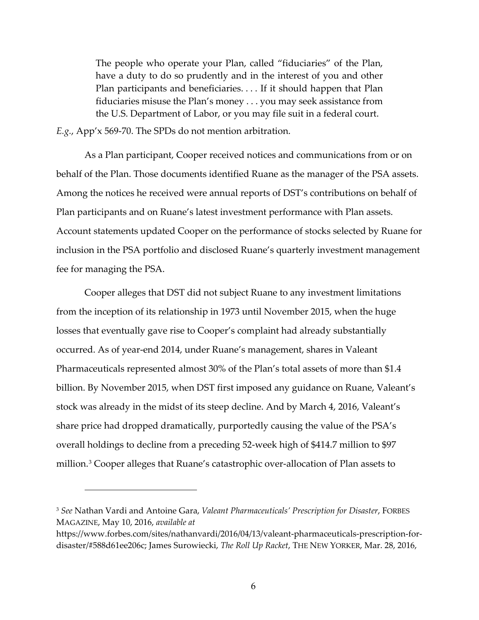The people who operate your Plan, called "fiduciaries" of the Plan, have a duty to do so prudently and in the interest of you and other Plan participants and beneficiaries. . . . If it should happen that Plan fiduciaries misuse the Plan's money . . . you may seek assistance from the U.S. Department of Labor, or you may file suit in a federal court.

*E.g.*, App'x 569-70. The SPDs do not mention arbitration.

As a Plan participant, Cooper received notices and communications from or on behalf of the Plan. Those documents identified Ruane as the manager of the PSA assets. Among the notices he received were annual reports of DST's contributions on behalf of Plan participants and on Ruane's latest investment performance with Plan assets. Account statements updated Cooper on the performance of stocks selected by Ruane for inclusion in the PSA portfolio and disclosed Ruane's quarterly investment management fee for managing the PSA.

Cooper alleges that DST did not subject Ruane to any investment limitations from the inception of its relationship in 1973 until November 2015, when the huge losses that eventually gave rise to Cooper's complaint had already substantially occurred. As of year-end 2014, under Ruane's management, shares in Valeant Pharmaceuticals represented almost 30% of the Plan's total assets of more than \$1.4 billion. By November 2015, when DST first imposed any guidance on Ruane, Valeant's stock was already in the midst of its steep decline. And by March 4, 2016, Valeant's share price had dropped dramatically, purportedly causing the value of the PSA's overall holdings to decline from a preceding 52-week high of \$414.7 million to \$97 million.[3](#page-5-0) Cooper alleges that Ruane's catastrophic over-allocation of Plan assets to

<span id="page-5-0"></span><sup>3</sup> *See* Nathan Vardi and Antoine Gara, *Valeant Pharmaceuticals' Prescription for Disaster*, FORBES MAGAZINE, May 10, 2016, *available at*

https://www.forbes.com/sites/nathanvardi/2016/04/13/valeant-pharmaceuticals-prescription-fordisaster/#588d61ee206c; James Surowiecki, *The Roll Up Racket*, THE NEW YORKER, Mar. 28, 2016,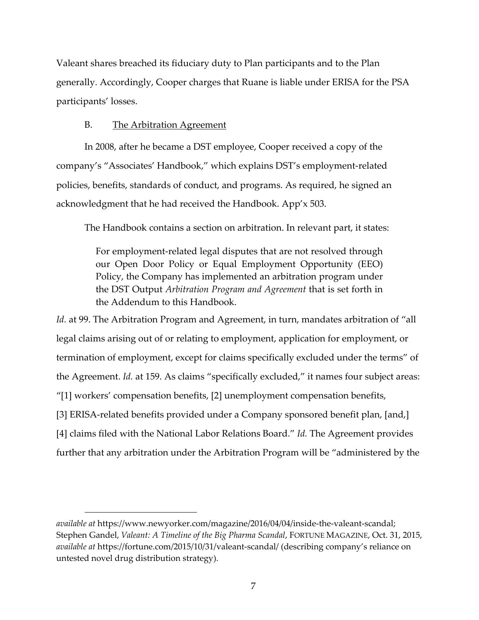Valeant shares breached its fiduciary duty to Plan participants and to the Plan generally. Accordingly, Cooper charges that Ruane is liable under ERISA for the PSA participants' losses.

# B. The Arbitration Agreement

In 2008, after he became a DST employee, Cooper received a copy of the company's "Associates' Handbook," which explains DST's employment-related policies, benefits, standards of conduct, and programs. As required, he signed an acknowledgment that he had received the Handbook. App'x 503.

The Handbook contains a section on arbitration. In relevant part, it states:

For employment-related legal disputes that are not resolved through our Open Door Policy or Equal Employment Opportunity (EEO) Policy, the Company has implemented an arbitration program under the DST Output *Arbitration Program and Agreement* that is set forth in the Addendum to this Handbook.

*Id.* at 99. The Arbitration Program and Agreement, in turn, mandates arbitration of "all legal claims arising out of or relating to employment, application for employment, or termination of employment, except for claims specifically excluded under the terms" of the Agreement. *Id.* at 159. As claims "specifically excluded," it names four subject areas: "[1] workers' compensation benefits, [2] unemployment compensation benefits, [3] ERISA-related benefits provided under a Company sponsored benefit plan, [and,] [4] claims filed with the National Labor Relations Board." *Id.* The Agreement provides further that any arbitration under the Arbitration Program will be "administered by the

*available at* https://www.newyorker.com/magazine/2016/04/04/inside-the-valeant-scandal; Stephen Gandel, *Valeant: A Timeline of the Big Pharma Scandal*, FORTUNE MAGAZINE, Oct. 31, 2015, *available at* https://fortune.com/2015/10/31/valeant-scandal/ (describing company's reliance on untested novel drug distribution strategy).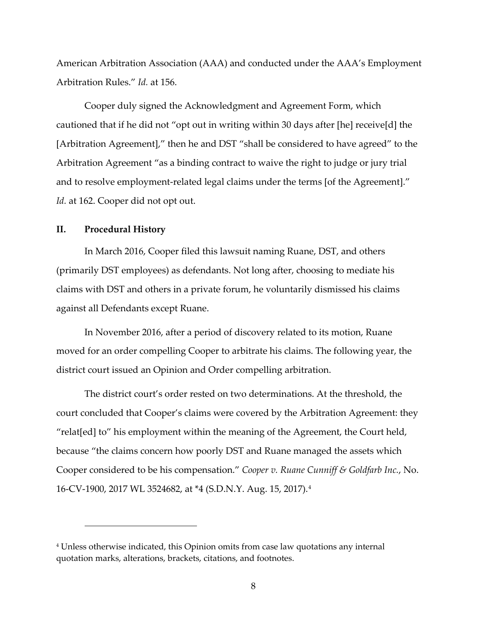American Arbitration Association (AAA) and conducted under the AAA's Employment Arbitration Rules." *Id.* at 156.

Cooper duly signed the Acknowledgment and Agreement Form, which cautioned that if he did not "opt out in writing within 30 days after [he] receive[d] the [Arbitration Agreement]," then he and DST "shall be considered to have agreed" to the Arbitration Agreement "as a binding contract to waive the right to judge or jury trial and to resolve employment-related legal claims under the terms [of the Agreement]." *Id.* at 162. Cooper did not opt out.

### **II. Procedural History**

In March 2016, Cooper filed this lawsuit naming Ruane, DST, and others (primarily DST employees) as defendants. Not long after, choosing to mediate his claims with DST and others in a private forum, he voluntarily dismissed his claims against all Defendants except Ruane.

In November 2016, after a period of discovery related to its motion, Ruane moved for an order compelling Cooper to arbitrate his claims. The following year, the district court issued an Opinion and Order compelling arbitration.

The district court's order rested on two determinations. At the threshold, the court concluded that Cooper's claims were covered by the Arbitration Agreement: they "relat[ed] to" his employment within the meaning of the Agreement, the Court held, because "the claims concern how poorly DST and Ruane managed the assets which Cooper considered to be his compensation." *Cooper v. Ruane Cunniff & Goldfarb Inc.*, No. 16-CV-1900, 2017 WL 3524682, at \*4 (S.D.N.Y. Aug. 15, 2017).[4](#page-7-0)

<span id="page-7-0"></span><sup>4</sup> Unless otherwise indicated, this Opinion omits from case law quotations any internal quotation marks, alterations, brackets, citations, and footnotes.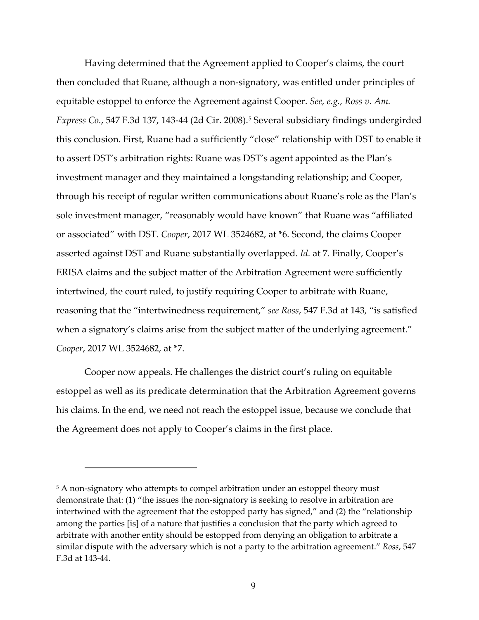Having determined that the Agreement applied to Cooper's claims, the court then concluded that Ruane, although a non-signatory, was entitled under principles of equitable estoppel to enforce the Agreement against Cooper. *See, e.g.*, *Ross v. Am. Express Co.*, 547 F.3d 137, 143-44 (2d Cir. 2008). [5](#page-8-0) Several subsidiary findings undergirded this conclusion. First, Ruane had a sufficiently "close" relationship with DST to enable it to assert DST's arbitration rights: Ruane was DST's agent appointed as the Plan's investment manager and they maintained a longstanding relationship; and Cooper, through his receipt of regular written communications about Ruane's role as the Plan's sole investment manager, "reasonably would have known" that Ruane was "affiliated or associated" with DST. *Cooper*, 2017 WL 3524682, at \*6. Second, the claims Cooper asserted against DST and Ruane substantially overlapped. *Id.* at 7. Finally, Cooper's ERISA claims and the subject matter of the Arbitration Agreement were sufficiently intertwined, the court ruled, to justify requiring Cooper to arbitrate with Ruane, reasoning that the "intertwinedness requirement," *see Ross*, 547 F.3d at 143, "is satisfied when a signatory's claims arise from the subject matter of the underlying agreement." *Cooper*, 2017 WL 3524682, at \*7.

Cooper now appeals. He challenges the district court's ruling on equitable estoppel as well as its predicate determination that the Arbitration Agreement governs his claims. In the end, we need not reach the estoppel issue, because we conclude that the Agreement does not apply to Cooper's claims in the first place.

<span id="page-8-0"></span><sup>&</sup>lt;sup>5</sup> A non-signatory who attempts to compel arbitration under an estoppel theory must demonstrate that: (1) "the issues the non-signatory is seeking to resolve in arbitration are intertwined with the agreement that the estopped party has signed," and (2) the "relationship among the parties [is] of a nature that justifies a conclusion that the party which agreed to arbitrate with another entity should be estopped from denying an obligation to arbitrate a similar dispute with the adversary which is not a party to the arbitration agreement." *Ross*, 547 F.3d at 143-44.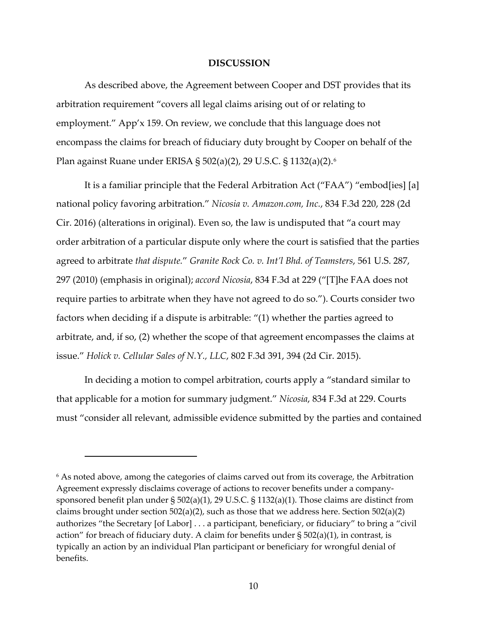#### **DISCUSSION**

As described above, the Agreement between Cooper and DST provides that its arbitration requirement "covers all legal claims arising out of or relating to employment." App'x 159. On review, we conclude that this language does not encompass the claims for breach of fiduciary duty brought by Cooper on behalf of the Plan against Ruane under ERISA § 502(a)(2), 29 U.S.C. § 1132(a)(2).[6](#page-9-0)

It is a familiar principle that the Federal Arbitration Act ("FAA") "embod[ies] [a] national policy favoring arbitration." *Nicosia v. Amazon.com, Inc.*, 834 F.3d 220, 228 (2d Cir. 2016) (alterations in original). Even so, the law is undisputed that "a court may order arbitration of a particular dispute only where the court is satisfied that the parties agreed to arbitrate *that dispute.*" *Granite Rock Co. v. Int'l Bhd. of Teamsters*, 561 U.S. 287, 297 (2010) (emphasis in original); *accord Nicosia*, 834 F.3d at 229 ("[T]he FAA does not require parties to arbitrate when they have not agreed to do so."). Courts consider two factors when deciding if a dispute is arbitrable: "(1) whether the parties agreed to arbitrate, and, if so, (2) whether the scope of that agreement encompasses the claims at issue." *Holick v. Cellular Sales of N.Y., LLC*, 802 F.3d 391, 394 (2d Cir. 2015).

In deciding a motion to compel arbitration, courts apply a "standard similar to that applicable for a motion for summary judgment." *Nicosia*, 834 F.3d at 229. Courts must "consider all relevant, admissible evidence submitted by the parties and contained

<span id="page-9-0"></span><sup>&</sup>lt;sup>6</sup> As noted above, among the categories of claims carved out from its coverage, the Arbitration Agreement expressly disclaims coverage of actions to recover benefits under a companysponsored benefit plan under § 502(a)(1), 29 U.S.C. § 1132(a)(1). Those claims are distinct from claims brought under section 502(a)(2), such as those that we address here. Section 502(a)(2) authorizes "the Secretary [of Labor] . . . a participant, beneficiary, or fiduciary" to bring a "civil action" for breach of fiduciary duty. A claim for benefits under § 502(a)(1), in contrast, is typically an action by an individual Plan participant or beneficiary for wrongful denial of benefits.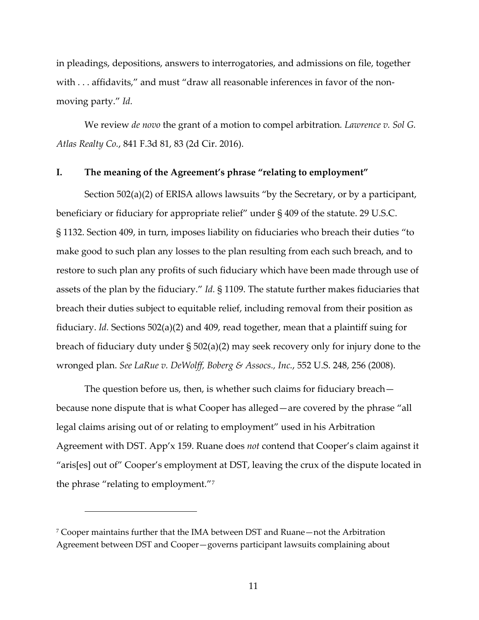in pleadings, depositions, answers to interrogatories, and admissions on file, together with . . . affidavits," and must "draw all reasonable inferences in favor of the nonmoving party." *Id.*

We review *de novo* the grant of a motion to compel arbitration*. Lawrence v. Sol G. Atlas Realty Co.*, 841 F.3d 81, 83 (2d Cir. 2016).

# **I. The meaning of the Agreement's phrase "relating to employment"**

Section 502(a)(2) of ERISA allows lawsuits "by the Secretary, or by a participant, beneficiary or fiduciary for appropriate relief" under § 409 of the statute. 29 U.S.C. § 1132. Section 409, in turn, imposes liability on fiduciaries who breach their duties "to make good to such plan any losses to the plan resulting from each such breach, and to restore to such plan any profits of such fiduciary which have been made through use of assets of the plan by the fiduciary." *Id.* § 1109. The statute further makes fiduciaries that breach their duties subject to equitable relief, including removal from their position as fiduciary. *Id.* Sections 502(a)(2) and 409, read together, mean that a plaintiff suing for breach of fiduciary duty under § 502(a)(2) may seek recovery only for injury done to the wronged plan. *See LaRue v. DeWolff, Boberg & Assocs., Inc.*, 552 U.S. 248, 256 (2008).

The question before us, then, is whether such claims for fiduciary breach because none dispute that is what Cooper has alleged—are covered by the phrase "all legal claims arising out of or relating to employment" used in his Arbitration Agreement with DST. App'x 159. Ruane does *not* contend that Cooper's claim against it "aris[es] out of" Cooper's employment at DST, leaving the crux of the dispute located in the phrase "relating to employment."[7](#page-10-0)

<span id="page-10-0"></span><sup>7</sup> Cooper maintains further that the IMA between DST and Ruane—not the Arbitration Agreement between DST and Cooper—governs participant lawsuits complaining about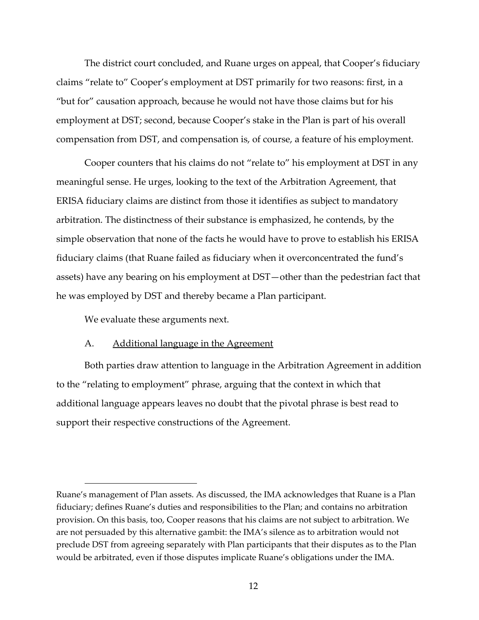The district court concluded, and Ruane urges on appeal, that Cooper's fiduciary claims "relate to" Cooper's employment at DST primarily for two reasons: first, in a "but for" causation approach, because he would not have those claims but for his employment at DST; second, because Cooper's stake in the Plan is part of his overall compensation from DST, and compensation is, of course, a feature of his employment.

Cooper counters that his claims do not "relate to" his employment at DST in any meaningful sense. He urges, looking to the text of the Arbitration Agreement, that ERISA fiduciary claims are distinct from those it identifies as subject to mandatory arbitration. The distinctness of their substance is emphasized, he contends, by the simple observation that none of the facts he would have to prove to establish his ERISA fiduciary claims (that Ruane failed as fiduciary when it overconcentrated the fund's assets) have any bearing on his employment at DST—other than the pedestrian fact that he was employed by DST and thereby became a Plan participant.

We evaluate these arguments next.

### A. Additional language in the Agreement

Both parties draw attention to language in the Arbitration Agreement in addition to the "relating to employment" phrase, arguing that the context in which that additional language appears leaves no doubt that the pivotal phrase is best read to support their respective constructions of the Agreement.

Ruane's management of Plan assets. As discussed, the IMA acknowledges that Ruane is a Plan fiduciary; defines Ruane's duties and responsibilities to the Plan; and contains no arbitration provision. On this basis, too, Cooper reasons that his claims are not subject to arbitration. We are not persuaded by this alternative gambit: the IMA's silence as to arbitration would not preclude DST from agreeing separately with Plan participants that their disputes as to the Plan would be arbitrated, even if those disputes implicate Ruane's obligations under the IMA.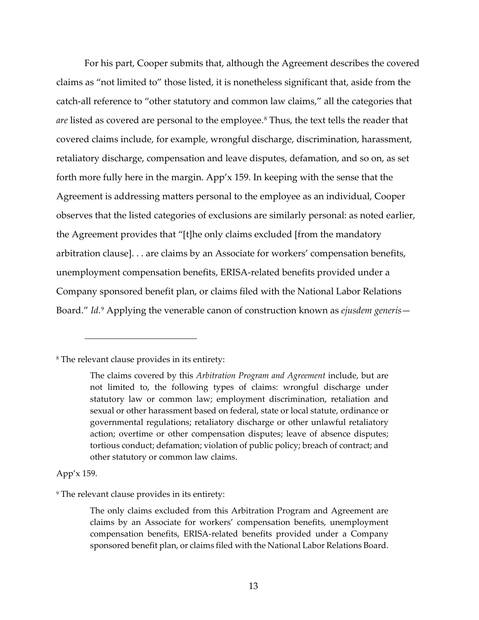For his part, Cooper submits that, although the Agreement describes the covered claims as "not limited to" those listed, it is nonetheless significant that, aside from the catch-all reference to "other statutory and common law claims," all the categories that *are* listed as covered are personal to the employee.<sup>[8](#page-12-0)</sup> Thus, the text tells the reader that covered claims include, for example, wrongful discharge, discrimination, harassment, retaliatory discharge, compensation and leave disputes, defamation, and so on, as set forth more fully here in the margin. App'x 159. In keeping with the sense that the Agreement is addressing matters personal to the employee as an individual, Cooper observes that the listed categories of exclusions are similarly personal: as noted earlier, the Agreement provides that "[t]he only claims excluded [from the mandatory arbitration clause]. . . are claims by an Associate for workers' compensation benefits, unemployment compensation benefits, ERISA-related benefits provided under a Company sponsored benefit plan, or claims filed with the National Labor Relations Board." *Id.*[9](#page-12-1) Applying the venerable canon of construction known as *ejusdem generis*—

App'x 159.

<span id="page-12-1"></span><sup>9</sup> The relevant clause provides in its entirety:

<span id="page-12-0"></span><sup>8</sup> The relevant clause provides in its entirety:

The claims covered by this *Arbitration Program and Agreement* include, but are not limited to, the following types of claims: wrongful discharge under statutory law or common law; employment discrimination, retaliation and sexual or other harassment based on federal, state or local statute, ordinance or governmental regulations; retaliatory discharge or other unlawful retaliatory action; overtime or other compensation disputes; leave of absence disputes; tortious conduct; defamation; violation of public policy; breach of contract; and other statutory or common law claims.

The only claims excluded from this Arbitration Program and Agreement are claims by an Associate for workers' compensation benefits, unemployment compensation benefits, ERISA-related benefits provided under a Company sponsored benefit plan, or claims filed with the National Labor Relations Board.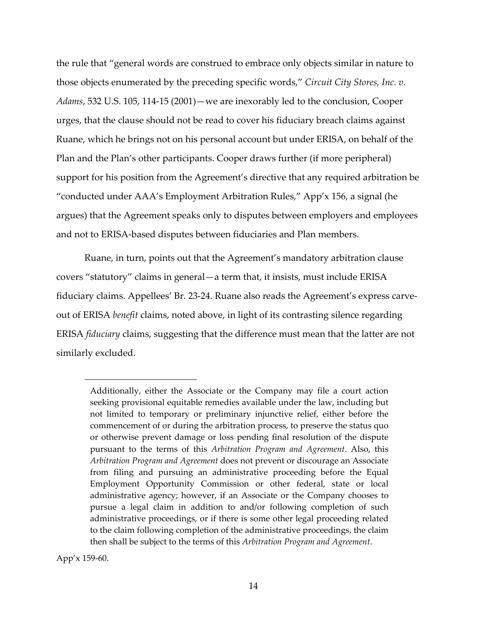the rule that "general words are construed to embrace only objects similar in nature to those objects enumerated by the preceding specific words," *Circuit City Stores, Inc. v. Adams*, 532 U.S. 105, 114-15 (2001)—we are inexorably led to the conclusion, Cooper urges, that the clause should not be read to cover his fiduciary breach claims against Ruane, which he brings not on his personal account but under ERISA, on behalf of the Plan and the Plan's other participants. Cooper draws further (if more peripheral) support for his position from the Agreement's directive that any required arbitration be "conducted under AAA's Employment Arbitration Rules," App'x 156, a signal (he argues) that the Agreement speaks only to disputes between employers and employees and not to ERISA-based disputes between fiduciaries and Plan members.

Ruane, in turn, points out that the Agreement's mandatory arbitration clause covers "statutory" claims in general—a term that, it insists, must include ERISA fiduciary claims. Appellees' Br. 23-24. Ruane also reads the Agreement's express carveout of ERISA *benefit* claims, noted above, in light of its contrasting silence regarding ERISA *fiduciary* claims, suggesting that the difference must mean that the latter are not similarly excluded.

App'x 159-60.

Additionally, either the Associate or the Company may file a court action seeking provisional equitable remedies available under the law, including but not limited to temporary or preliminary injunctive relief, either before the commencement of or during the arbitration process, to preserve the status quo or otherwise prevent damage or loss pending final resolution of the dispute pursuant to the terms of this *Arbitration Program and Agreement*. Also, this *Arbitration Program and Agreement* does not prevent or discourage an Associate from filing and pursuing an administrative proceeding before the Equal Employment Opportunity Commission or other federal, state or local administrative agency; however, if an Associate or the Company chooses to pursue a legal claim in addition to and/or following completion of such administrative proceedings, or if there is some other legal proceeding related to the claim following completion of the administrative proceedings, the claim then shall be subject to the terms of this *Arbitration Program and Agreement*.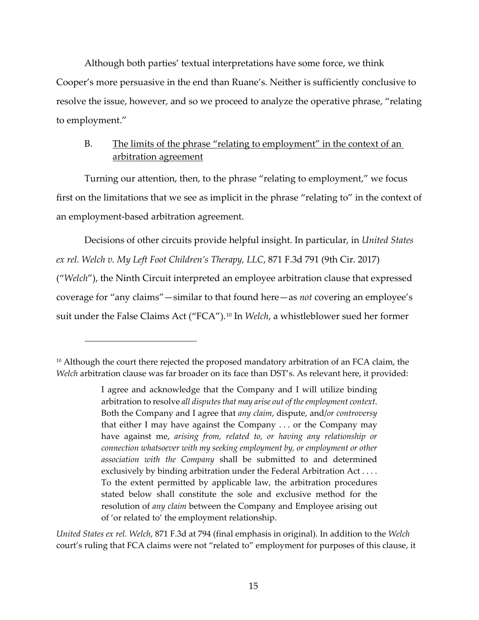Although both parties' textual interpretations have some force, we think Cooper's more persuasive in the end than Ruane's. Neither is sufficiently conclusive to resolve the issue, however, and so we proceed to analyze the operative phrase, "relating to employment."

# B. The limits of the phrase "relating to employment" in the context of an arbitration agreement

Turning our attention, then, to the phrase "relating to employment," we focus first on the limitations that we see as implicit in the phrase "relating to" in the context of an employment-based arbitration agreement.

Decisions of other circuits provide helpful insight. In particular, in *United States ex rel. Welch v. My Left Foot Children's Therapy, LLC*, 871 F.3d 791 (9th Cir. 2017) ("*Welch*"), the Ninth Circuit interpreted an employee arbitration clause that expressed coverage for "any claims"—similar to that found here—as *not* covering an employee's suit under the False Claims Act ("FCA").[10](#page-14-0) In *Welch*, a whistleblower sued her former

*United States ex rel. Welch*, 871 F.3d at 794 (final emphasis in original). In addition to the *Welch* court's ruling that FCA claims were not "related to" employment for purposes of this clause, it

<span id="page-14-0"></span><sup>&</sup>lt;sup>10</sup> Although the court there rejected the proposed mandatory arbitration of an FCA claim, the *Welch* arbitration clause was far broader on its face than DST's. As relevant here, it provided:

I agree and acknowledge that the Company and I will utilize binding arbitration to resolve *all disputes that may arise out of the employment context*. Both the Company and I agree that *any claim*, dispute, and/*or controversy* that either I may have against the Company . . . or the Company may have against me, *arising from, related to, or having any relationship or connection whatsoever with my seeking employment by, or employment or other association with the Company* shall be submitted to and determined exclusively by binding arbitration under the Federal Arbitration Act . . . . To the extent permitted by applicable law, the arbitration procedures stated below shall constitute the sole and exclusive method for the resolution of *any claim* between the Company and Employee arising out of 'or related to' the employment relationship.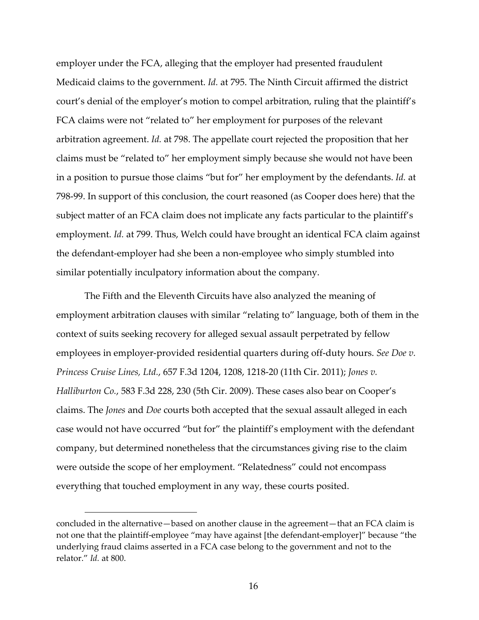employer under the FCA, alleging that the employer had presented fraudulent Medicaid claims to the government. *Id.* at 795. The Ninth Circuit affirmed the district court's denial of the employer's motion to compel arbitration, ruling that the plaintiff's FCA claims were not "related to" her employment for purposes of the relevant arbitration agreement. *Id.* at 798. The appellate court rejected the proposition that her claims must be "related to" her employment simply because she would not have been in a position to pursue those claims "but for" her employment by the defendants. *Id.* at 798-99. In support of this conclusion, the court reasoned (as Cooper does here) that the subject matter of an FCA claim does not implicate any facts particular to the plaintiff's employment. *Id.* at 799. Thus, Welch could have brought an identical FCA claim against the defendant-employer had she been a non-employee who simply stumbled into similar potentially inculpatory information about the company.

The Fifth and the Eleventh Circuits have also analyzed the meaning of employment arbitration clauses with similar "relating to" language, both of them in the context of suits seeking recovery for alleged sexual assault perpetrated by fellow employees in employer-provided residential quarters during off-duty hours. *See Doe v. Princess Cruise Lines, Ltd.*, 657 F.3d 1204, 1208, 1218-20 (11th Cir. 2011); *Jones v. Halliburton Co.*, 583 F.3d 228, 230 (5th Cir. 2009). These cases also bear on Cooper's claims. The *Jones* and *Doe* courts both accepted that the sexual assault alleged in each case would not have occurred "but for" the plaintiff's employment with the defendant company, but determined nonetheless that the circumstances giving rise to the claim were outside the scope of her employment. "Relatedness" could not encompass everything that touched employment in any way, these courts posited.

concluded in the alternative—based on another clause in the agreement—that an FCA claim is not one that the plaintiff-employee "may have against [the defendant-employer]" because "the underlying fraud claims asserted in a FCA case belong to the government and not to the relator." *Id.* at 800.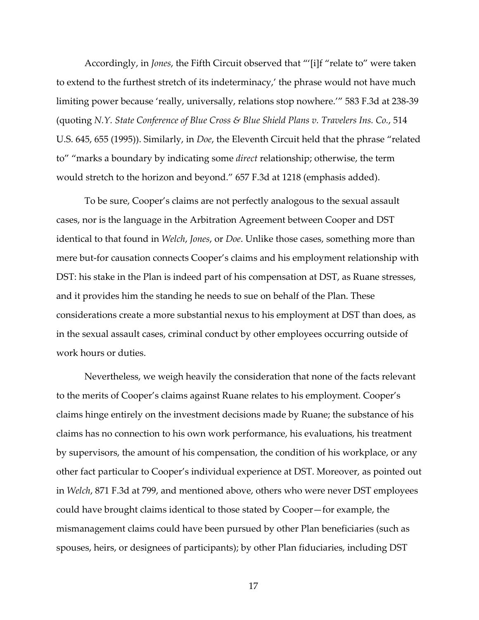Accordingly, in *Jones*, the Fifth Circuit observed that "'[i]f "relate to" were taken to extend to the furthest stretch of its indeterminacy,' the phrase would not have much limiting power because 'really, universally, relations stop nowhere.'" 583 F.3d at 238-39 (quoting *N.Y. State Conference of Blue Cross & Blue Shield Plans v. Travelers Ins. Co.*, 514 U.S. 645, 655 (1995)). Similarly, in *Doe*, the Eleventh Circuit held that the phrase "related to" "marks a boundary by indicating some *direct* relationship; otherwise, the term would stretch to the horizon and beyond." 657 F.3d at 1218 (emphasis added).

To be sure, Cooper's claims are not perfectly analogous to the sexual assault cases, nor is the language in the Arbitration Agreement between Cooper and DST identical to that found in *Welch*, *Jones*, or *Doe*. Unlike those cases, something more than mere but-for causation connects Cooper's claims and his employment relationship with DST: his stake in the Plan is indeed part of his compensation at DST, as Ruane stresses, and it provides him the standing he needs to sue on behalf of the Plan. These considerations create a more substantial nexus to his employment at DST than does, as in the sexual assault cases, criminal conduct by other employees occurring outside of work hours or duties.

Nevertheless, we weigh heavily the consideration that none of the facts relevant to the merits of Cooper's claims against Ruane relates to his employment. Cooper's claims hinge entirely on the investment decisions made by Ruane; the substance of his claims has no connection to his own work performance, his evaluations, his treatment by supervisors, the amount of his compensation, the condition of his workplace, or any other fact particular to Cooper's individual experience at DST. Moreover, as pointed out in *Welch*, 871 F.3d at 799, and mentioned above, others who were never DST employees could have brought claims identical to those stated by Cooper—for example, the mismanagement claims could have been pursued by other Plan beneficiaries (such as spouses, heirs, or designees of participants); by other Plan fiduciaries, including DST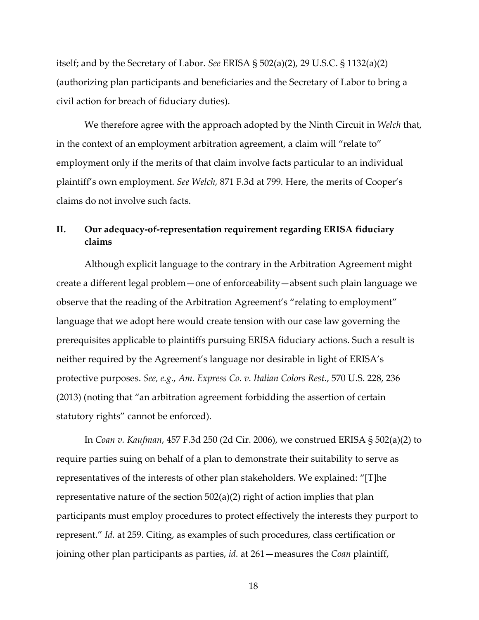itself; and by the Secretary of Labor. *See* ERISA § 502(a)(2), 29 U.S.C. § 1132(a)(2) (authorizing plan participants and beneficiaries and the Secretary of Labor to bring a civil action for breach of fiduciary duties).

We therefore agree with the approach adopted by the Ninth Circuit in *Welch* that, in the context of an employment arbitration agreement, a claim will "relate to" employment only if the merits of that claim involve facts particular to an individual plaintiff's own employment. *See Welch,* 871 F.3d at 799*.* Here, the merits of Cooper's claims do not involve such facts.

# **II. Our adequacy-of-representation requirement regarding ERISA fiduciary claims**

Although explicit language to the contrary in the Arbitration Agreement might create a different legal problem—one of enforceability—absent such plain language we observe that the reading of the Arbitration Agreement's "relating to employment" language that we adopt here would create tension with our case law governing the prerequisites applicable to plaintiffs pursuing ERISA fiduciary actions. Such a result is neither required by the Agreement's language nor desirable in light of ERISA's protective purposes. *See, e.g.*, *Am. Express Co. v. Italian Colors Rest.*, 570 U.S. 228, 236 (2013) (noting that "an arbitration agreement forbidding the assertion of certain statutory rights" cannot be enforced).

In *Coan v. Kaufman*, 457 F.3d 250 (2d Cir. 2006), we construed ERISA § 502(a)(2) to require parties suing on behalf of a plan to demonstrate their suitability to serve as representatives of the interests of other plan stakeholders. We explained: "[T]he representative nature of the section 502(a)(2) right of action implies that plan participants must employ procedures to protect effectively the interests they purport to represent." *Id.* at 259. Citing, as examples of such procedures, class certification or joining other plan participants as parties, *id.* at 261—measures the *Coan* plaintiff,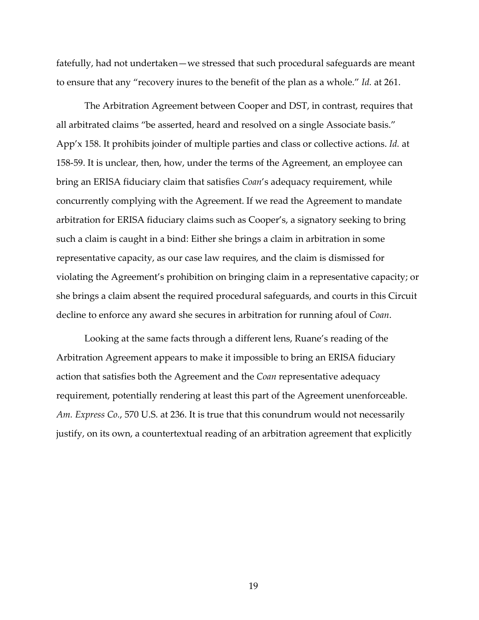fatefully, had not undertaken—we stressed that such procedural safeguards are meant to ensure that any "recovery inures to the benefit of the plan as a whole." *Id.* at 261.

The Arbitration Agreement between Cooper and DST, in contrast, requires that all arbitrated claims "be asserted, heard and resolved on a single Associate basis." App'x 158. It prohibits joinder of multiple parties and class or collective actions. *Id.* at 158-59. It is unclear, then, how, under the terms of the Agreement, an employee can bring an ERISA fiduciary claim that satisfies *Coan*'s adequacy requirement, while concurrently complying with the Agreement. If we read the Agreement to mandate arbitration for ERISA fiduciary claims such as Cooper's, a signatory seeking to bring such a claim is caught in a bind: Either she brings a claim in arbitration in some representative capacity, as our case law requires, and the claim is dismissed for violating the Agreement's prohibition on bringing claim in a representative capacity; or she brings a claim absent the required procedural safeguards, and courts in this Circuit decline to enforce any award she secures in arbitration for running afoul of *Coan*.

Looking at the same facts through a different lens, Ruane's reading of the Arbitration Agreement appears to make it impossible to bring an ERISA fiduciary action that satisfies both the Agreement and the *Coan* representative adequacy requirement, potentially rendering at least this part of the Agreement unenforceable. *Am. Express Co.*, 570 U.S. at 236. It is true that this conundrum would not necessarily justify, on its own, a countertextual reading of an arbitration agreement that explicitly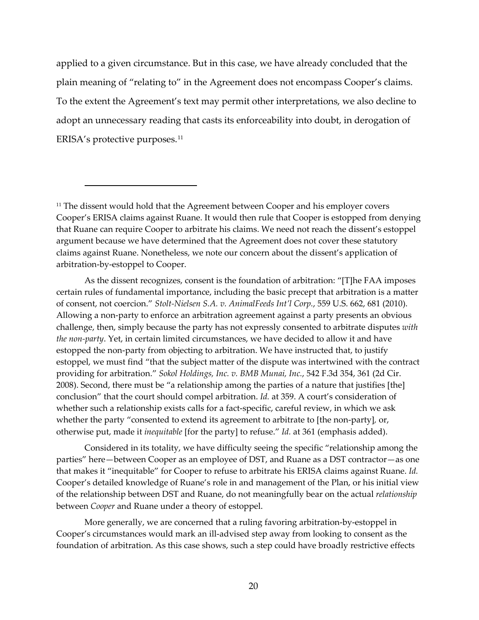applied to a given circumstance. But in this case, we have already concluded that the plain meaning of "relating to" in the Agreement does not encompass Cooper's claims. To the extent the Agreement's text may permit other interpretations, we also decline to adopt an unnecessary reading that casts its enforceability into doubt, in derogation of ERISA's protective purposes.<sup>[11](#page-19-0)</sup>

As the dissent recognizes, consent is the foundation of arbitration: "[T]he FAA imposes certain rules of fundamental importance, including the basic precept that arbitration is a matter of consent, not coercion." *Stolt-Nielsen S.A. v. AnimalFeeds Int'l Corp.*, 559 U.S. 662, 681 (2010). Allowing a non-party to enforce an arbitration agreement against a party presents an obvious challenge, then, simply because the party has not expressly consented to arbitrate disputes *with the non-party*. Yet, in certain limited circumstances, we have decided to allow it and have estopped the non-party from objecting to arbitration. We have instructed that, to justify estoppel, we must find "that the subject matter of the dispute was intertwined with the contract providing for arbitration." *Sokol Holdings, Inc. v. BMB Munai, Inc.*, 542 F.3d 354, 361 (2d Cir. 2008). Second, there must be "a relationship among the parties of a nature that justifies [the] conclusion" that the court should compel arbitration. *Id.* at 359. A court's consideration of whether such a relationship exists calls for a fact-specific, careful review, in which we ask whether the party "consented to extend its agreement to arbitrate to [the non-party]*,* or, otherwise put, made it *inequitable* [for the party] to refuse." *Id.* at 361 (emphasis added).

Considered in its totality, we have difficulty seeing the specific "relationship among the parties" here—between Cooper as an employee of DST, and Ruane as a DST contractor—as one that makes it "inequitable" for Cooper to refuse to arbitrate his ERISA claims against Ruane. *Id.* Cooper's detailed knowledge of Ruane's role in and management of the Plan, or his initial view of the relationship between DST and Ruane, do not meaningfully bear on the actual *relationship* between *Cooper* and Ruane under a theory of estoppel.

More generally, we are concerned that a ruling favoring arbitration-by-estoppel in Cooper's circumstances would mark an ill-advised step away from looking to consent as the foundation of arbitration. As this case shows, such a step could have broadly restrictive effects

<span id="page-19-0"></span><sup>&</sup>lt;sup>11</sup> The dissent would hold that the Agreement between Cooper and his employer covers Cooper's ERISA claims against Ruane. It would then rule that Cooper is estopped from denying that Ruane can require Cooper to arbitrate his claims. We need not reach the dissent's estoppel argument because we have determined that the Agreement does not cover these statutory claims against Ruane. Nonetheless, we note our concern about the dissent's application of arbitration-by-estoppel to Cooper.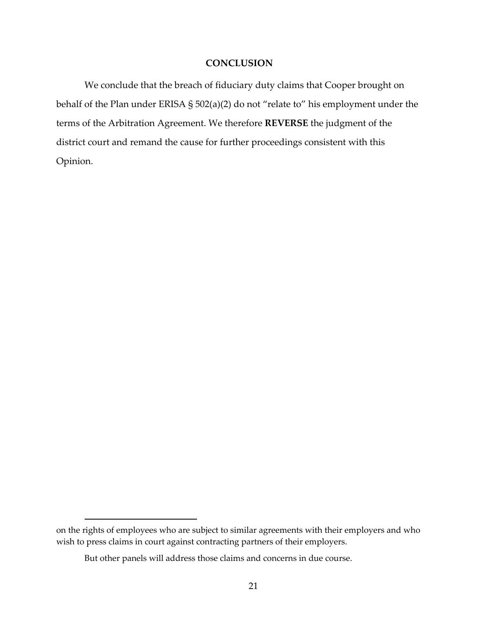## **CONCLUSION**

We conclude that the breach of fiduciary duty claims that Cooper brought on behalf of the Plan under ERISA § 502(a)(2) do not "relate to" his employment under the terms of the Arbitration Agreement. We therefore **REVERSE** the judgment of the district court and remand the cause for further proceedings consistent with this Opinion.

on the rights of employees who are subject to similar agreements with their employers and who wish to press claims in court against contracting partners of their employers.

But other panels will address those claims and concerns in due course.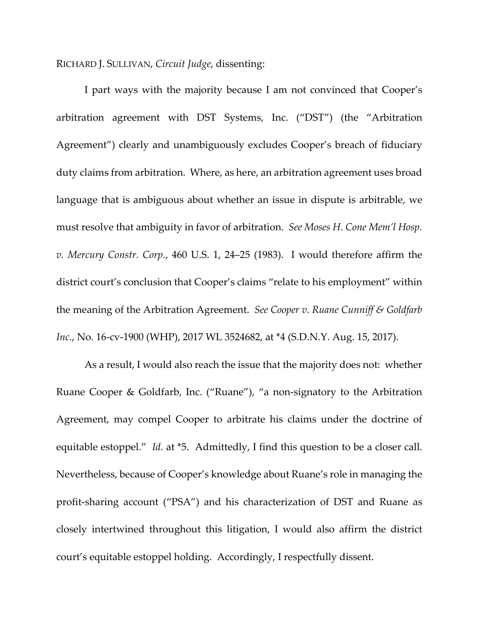RICHARD J. SULLIVAN, *Circuit Judge*, dissenting:

I part ways with the majority because I am not convinced that Cooper's arbitration agreement with DST Systems, Inc. ("DST") (the "Arbitration Agreement") clearly and unambiguously excludes Cooper's breach of fiduciary duty claims from arbitration. Where, as here, an arbitration agreement uses broad language that is ambiguous about whether an issue in dispute is arbitrable, we must resolve that ambiguity in favor of arbitration. *See Moses H. Cone Mem'l Hosp. v. Mercury Constr. Corp.*, 460 U.S. 1, 24–25 (1983). I would therefore affirm the district court's conclusion that Cooper's claims "relate to his employment" within the meaning of the Arbitration Agreement. *See Cooper v. Ruane Cunniff & Goldfarb Inc.*, No. 16-cv-1900 (WHP), 2017 WL 3524682, at \*4 (S.D.N.Y. Aug. 15, 2017).

As a result, I would also reach the issue that the majority does not: whether Ruane Cooper & Goldfarb, Inc. ("Ruane"), "a non-signatory to the Arbitration Agreement, may compel Cooper to arbitrate his claims under the doctrine of equitable estoppel." *Id.* at \*5. Admittedly, I find this question to be a closer call. Nevertheless, because of Cooper's knowledge about Ruane's role in managing the profit-sharing account ("PSA") and his characterization of DST and Ruane as closely intertwined throughout this litigation, I would also affirm the district court's equitable estoppel holding. Accordingly, I respectfully dissent.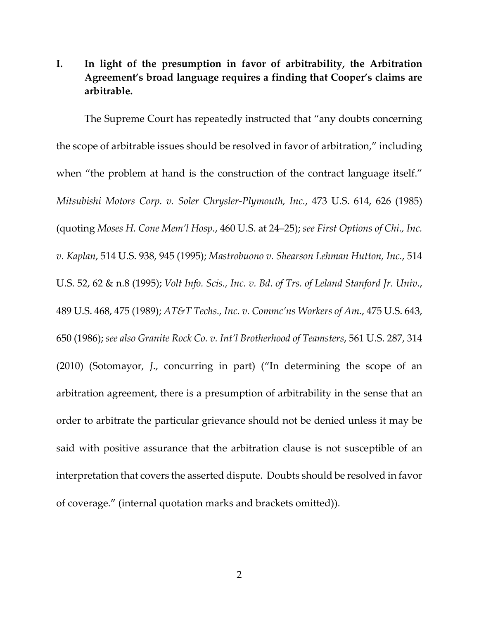# **I. In light of the presumption in favor of arbitrability, the Arbitration Agreement's broad language requires a finding that Cooper's claims are arbitrable.**

The Supreme Court has repeatedly instructed that "any doubts concerning the scope of arbitrable issues should be resolved in favor of arbitration," including when "the problem at hand is the construction of the contract language itself." *Mitsubishi Motors Corp. v. Soler Chrysler-Plymouth, Inc.*, 473 U.S. 614, 626 (1985) (quoting *Moses H. Cone Mem'l Hosp.*, 460 U.S. at 24–25); *see First Options of Chi., Inc. v. Kaplan*, 514 U.S. 938, 945 (1995); *Mastrobuono v. Shearson Lehman Hutton, Inc.*, 514 U.S. 52, 62 & n.8 (1995); *Volt Info. Scis., Inc. v. Bd. of Trs. of Leland Stanford Jr. Univ.*, 489 U.S. 468, 475 (1989); *AT&T Techs., Inc. v. Commc'ns Workers of Am.*, 475 U.S. 643, 650 (1986); *see also Granite Rock Co. v. Int'l Brotherhood of Teamsters*, 561 U.S. 287, 314 (2010) (Sotomayor, *J*., concurring in part) ("In determining the scope of an arbitration agreement, there is a presumption of arbitrability in the sense that an order to arbitrate the particular grievance should not be denied unless it may be said with positive assurance that the arbitration clause is not susceptible of an interpretation that covers the asserted dispute. Doubts should be resolved in favor of coverage." (internal quotation marks and brackets omitted)).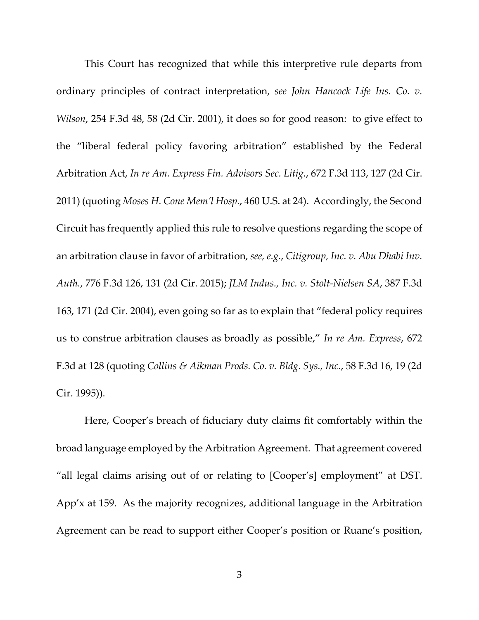This Court has recognized that while this interpretive rule departs from ordinary principles of contract interpretation, *see John Hancock Life Ins. Co. v. Wilson*, 254 F.3d 48, 58 (2d Cir. 2001), it does so for good reason: to give effect to the "liberal federal policy favoring arbitration" established by the Federal Arbitration Act, *In re Am. Express Fin. Advisors Sec. Litig.*, 672 F.3d 113, 127 (2d Cir. 2011) (quoting *Moses H. Cone Mem'l Hosp.*, 460 U.S. at 24). Accordingly, the Second Circuit has frequently applied this rule to resolve questions regarding the scope of an arbitration clause in favor of arbitration, *see, e.g.*, *Citigroup, Inc. v. Abu Dhabi Inv. Auth.*, 776 F.3d 126, 131 (2d Cir. 2015); *JLM Indus., Inc. v. Stolt-Nielsen SA*, 387 F.3d 163, 171 (2d Cir. 2004), even going so far as to explain that "federal policy requires us to construe arbitration clauses as broadly as possible," *In re Am. Express*, 672 F.3d at 128 (quoting *Collins & Aikman Prods. Co. v. Bldg. Sys., Inc.*, 58 F.3d 16, 19 (2d Cir. 1995)).

Here, Cooper's breach of fiduciary duty claims fit comfortably within the broad language employed by the Arbitration Agreement. That agreement covered "all legal claims arising out of or relating to [Cooper's] employment" at DST. App'x at 159. As the majority recognizes, additional language in the Arbitration Agreement can be read to support either Cooper's position or Ruane's position,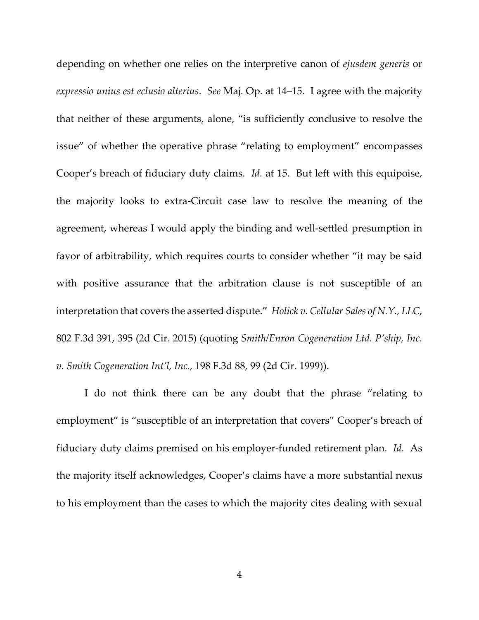depending on whether one relies on the interpretive canon of *ejusdem generis* or *expressio unius est eclusio alterius*. *See* Maj. Op. at 14–15. I agree with the majority that neither of these arguments, alone, "is sufficiently conclusive to resolve the issue" of whether the operative phrase "relating to employment" encompasses Cooper's breach of fiduciary duty claims. *Id.* at 15. But left with this equipoise, the majority looks to extra-Circuit case law to resolve the meaning of the agreement, whereas I would apply the binding and well-settled presumption in favor of arbitrability, which requires courts to consider whether "it may be said with positive assurance that the arbitration clause is not susceptible of an interpretation that covers the asserted dispute." *Holick v. Cellular Sales of N.Y., LLC*, 802 F.3d 391, 395 (2d Cir. 2015) (quoting *Smith/Enron Cogeneration Ltd. P'ship, Inc. v. Smith Cogeneration Int'l, Inc.*, 198 F.3d 88, 99 (2d Cir. 1999)).

I do not think there can be any doubt that the phrase "relating to employment" is "susceptible of an interpretation that covers" Cooper's breach of fiduciary duty claims premised on his employer-funded retirement plan. *Id.* As the majority itself acknowledges, Cooper's claims have a more substantial nexus to his employment than the cases to which the majority cites dealing with sexual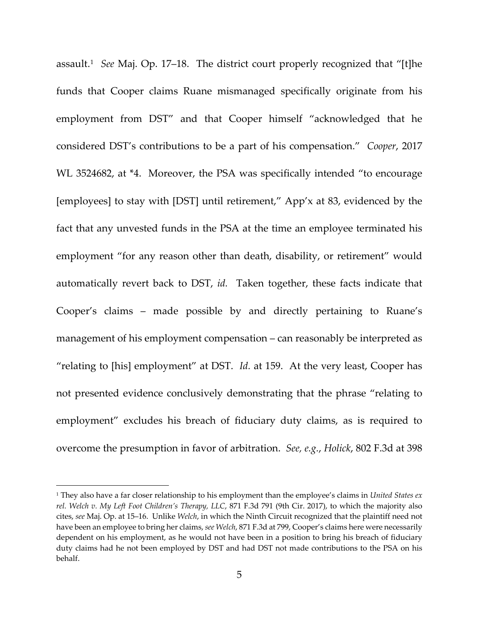assault.[1](#page-25-0) *See* Maj. Op. 17–18. The district court properly recognized that "[t]he funds that Cooper claims Ruane mismanaged specifically originate from his employment from DST" and that Cooper himself "acknowledged that he considered DST's contributions to be a part of his compensation." *Cooper*, 2017 WL 3524682, at \*4. Moreover, the PSA was specifically intended "to encourage [employees] to stay with [DST] until retirement," App'x at 83, evidenced by the fact that any unvested funds in the PSA at the time an employee terminated his employment "for any reason other than death, disability, or retirement" would automatically revert back to DST, *id.* Taken together, these facts indicate that Cooper's claims – made possible by and directly pertaining to Ruane's management of his employment compensation – can reasonably be interpreted as "relating to [his] employment" at DST. *Id.* at 159. At the very least, Cooper has not presented evidence conclusively demonstrating that the phrase "relating to employment" excludes his breach of fiduciary duty claims, as is required to overcome the presumption in favor of arbitration. *See, e.g.*, *Holick*, 802 F.3d at 398

<span id="page-25-0"></span><sup>1</sup> They also have a far closer relationship to his employment than the employee's claims in *United States ex rel. Welch v. My Left Foot Children's Therapy, LLC*, 871 F.3d 791 (9th Cir. 2017), to which the majority also cites, *see* Maj. Op. at 15–16. Unlike *Welch*, in which the Ninth Circuit recognized that the plaintiff need not have been an employee to bring her claims, *see Welch*, 871 F.3d at 799, Cooper's claims here were necessarily dependent on his employment, as he would not have been in a position to bring his breach of fiduciary duty claims had he not been employed by DST and had DST not made contributions to the PSA on his behalf.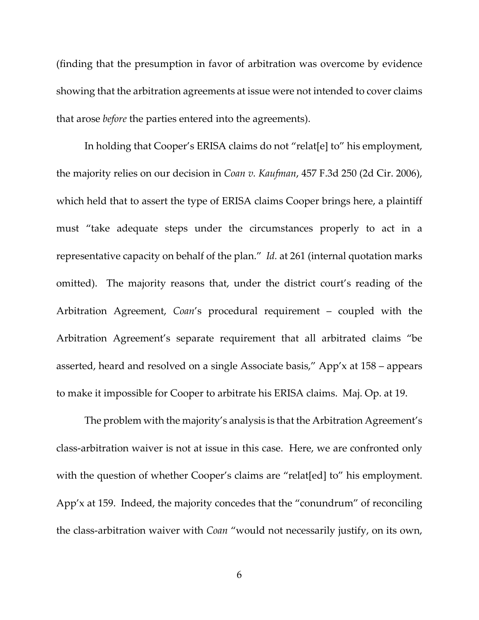(finding that the presumption in favor of arbitration was overcome by evidence showing that the arbitration agreements at issue were not intended to cover claims that arose *before* the parties entered into the agreements).

In holding that Cooper's ERISA claims do not "relat[e] to" his employment, the majority relies on our decision in *Coan v. Kaufman*, 457 F.3d 250 (2d Cir. 2006), which held that to assert the type of ERISA claims Cooper brings here, a plaintiff must "take adequate steps under the circumstances properly to act in a representative capacity on behalf of the plan." *Id.* at 261 (internal quotation marks omitted). The majority reasons that, under the district court's reading of the Arbitration Agreement, *Coan*'s procedural requirement – coupled with the Arbitration Agreement's separate requirement that all arbitrated claims "be asserted, heard and resolved on a single Associate basis," App'x at 158 – appears to make it impossible for Cooper to arbitrate his ERISA claims. Maj. Op. at 19.

The problem with the majority's analysis is that the Arbitration Agreement's class-arbitration waiver is not at issue in this case. Here, we are confronted only with the question of whether Cooper's claims are "relat[ed] to" his employment. App'x at 159. Indeed, the majority concedes that the "conundrum" of reconciling the class-arbitration waiver with *Coan* "would not necessarily justify, on its own,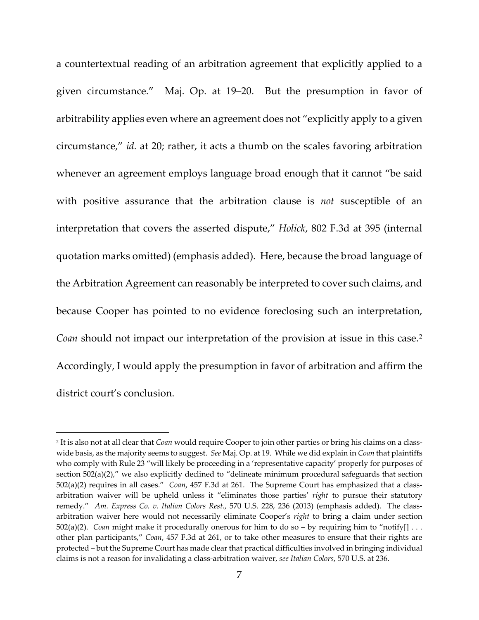a countertextual reading of an arbitration agreement that explicitly applied to a given circumstance." Maj. Op. at 19–20. But the presumption in favor of arbitrability applies even where an agreement does not "explicitly apply to a given circumstance," *id.* at 20; rather, it acts a thumb on the scales favoring arbitration whenever an agreement employs language broad enough that it cannot "be said with positive assurance that the arbitration clause is *not* susceptible of an interpretation that covers the asserted dispute," *Holick*, 802 F.3d at 395 (internal quotation marks omitted) (emphasis added). Here, because the broad language of the Arbitration Agreement can reasonably be interpreted to cover such claims, and because Cooper has pointed to no evidence foreclosing such an interpretation, *Coan* should not impact our interpretation of the provision at issue in this case.[2](#page-27-0) Accordingly, I would apply the presumption in favor of arbitration and affirm the district court's conclusion.

<span id="page-27-0"></span><sup>2</sup> It is also not at all clear that *Coan* would require Cooper to join other parties or bring his claims on a classwide basis, as the majority seems to suggest. *See* Maj. Op. at 19. While we did explain in *Coan* that plaintiffs who comply with Rule 23 "will likely be proceeding in a 'representative capacity' properly for purposes of section 502(a)(2)," we also explicitly declined to "delineate minimum procedural safeguards that section 502(a)(2) requires in all cases." *Coan*, 457 F.3d at 261. The Supreme Court has emphasized that a classarbitration waiver will be upheld unless it "eliminates those parties' *right* to pursue their statutory remedy." *Am. Express Co. v. Italian Colors Rest.*, 570 U.S. 228, 236 (2013) (emphasis added). The classarbitration waiver here would not necessarily eliminate Cooper's *right* to bring a claim under section 502(a)(2). *Coan* might make it procedurally onerous for him to do so – by requiring him to "notify[] . . . other plan participants," *Coan*, 457 F.3d at 261, or to take other measures to ensure that their rights are protected – but the Supreme Court has made clear that practical difficulties involved in bringing individual claims is not a reason for invalidating a class-arbitration waiver, *see Italian Colors*, 570 U.S. at 236.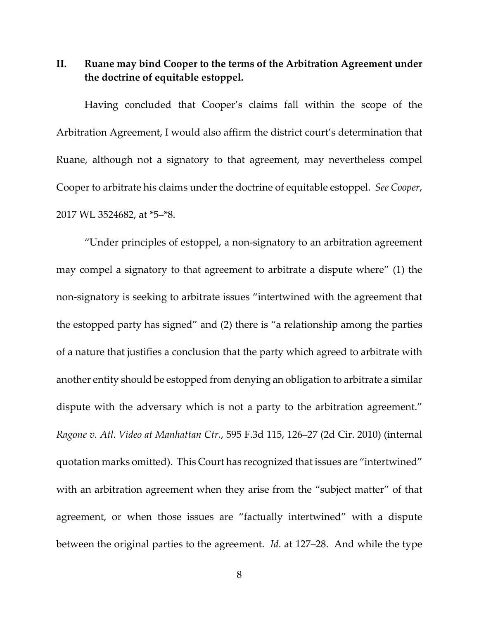**II. Ruane may bind Cooper to the terms of the Arbitration Agreement under the doctrine of equitable estoppel.**

Having concluded that Cooper's claims fall within the scope of the Arbitration Agreement, I would also affirm the district court's determination that Ruane, although not a signatory to that agreement, may nevertheless compel Cooper to arbitrate his claims under the doctrine of equitable estoppel. *See Cooper*, 2017 WL 3524682, at \*5–\*8.

"Under principles of estoppel, a non-signatory to an arbitration agreement may compel a signatory to that agreement to arbitrate a dispute where" (1) the non-signatory is seeking to arbitrate issues "intertwined with the agreement that the estopped party has signed" and (2) there is "a relationship among the parties of a nature that justifies a conclusion that the party which agreed to arbitrate with another entity should be estopped from denying an obligation to arbitrate a similar dispute with the adversary which is not a party to the arbitration agreement." *Ragone v. Atl. Video at Manhattan Ctr.*, 595 F.3d 115, 126–27 (2d Cir. 2010) (internal quotation marks omitted). This Court has recognized that issues are "intertwined" with an arbitration agreement when they arise from the "subject matter" of that agreement, or when those issues are "factually intertwined" with a dispute between the original parties to the agreement. *Id.* at 127–28. And while the type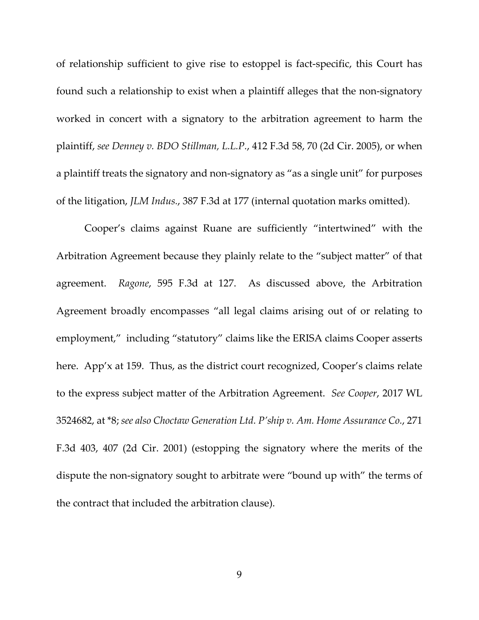of relationship sufficient to give rise to estoppel is fact-specific, this Court has found such a relationship to exist when a plaintiff alleges that the non-signatory worked in concert with a signatory to the arbitration agreement to harm the plaintiff, *see Denney v. BDO Stillman, L.L.P.*, 412 F.3d 58, 70 (2d Cir. 2005), or when a plaintiff treats the signatory and non-signatory as "as a single unit" for purposes of the litigation, *JLM Indus.*, 387 F.3d at 177 (internal quotation marks omitted).

Cooper's claims against Ruane are sufficiently "intertwined" with the Arbitration Agreement because they plainly relate to the "subject matter" of that agreement. *Ragone*, 595 F.3d at 127. As discussed above, the Arbitration Agreement broadly encompasses "all legal claims arising out of or relating to employment," including "statutory" claims like the ERISA claims Cooper asserts here. App'x at 159. Thus, as the district court recognized, Cooper's claims relate to the express subject matter of the Arbitration Agreement. *See Cooper*, 2017 WL 3524682, at \*8; *see also Choctaw Generation Ltd. P'ship v. Am. Home Assurance Co.*, 271 F.3d 403, 407 (2d Cir. 2001) (estopping the signatory where the merits of the dispute the non-signatory sought to arbitrate were "bound up with" the terms of the contract that included the arbitration clause).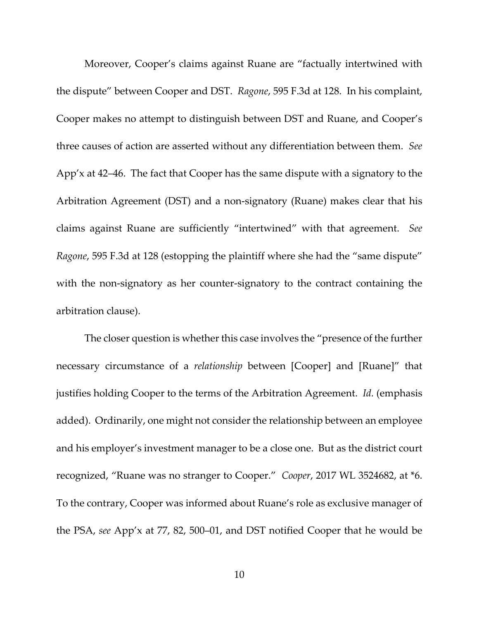Moreover, Cooper's claims against Ruane are "factually intertwined with the dispute" between Cooper and DST. *Ragone*, 595 F.3d at 128. In his complaint, Cooper makes no attempt to distinguish between DST and Ruane, and Cooper's three causes of action are asserted without any differentiation between them. *See*  App'x at 42–46. The fact that Cooper has the same dispute with a signatory to the Arbitration Agreement (DST) and a non-signatory (Ruane) makes clear that his claims against Ruane are sufficiently "intertwined" with that agreement. *See Ragone*, 595 F.3d at 128 (estopping the plaintiff where she had the "same dispute" with the non-signatory as her counter-signatory to the contract containing the arbitration clause).

The closer question is whether this case involves the "presence of the further necessary circumstance of a *relationship* between [Cooper] and [Ruane]" that justifies holding Cooper to the terms of the Arbitration Agreement. *Id.* (emphasis added). Ordinarily, one might not consider the relationship between an employee and his employer's investment manager to be a close one. But as the district court recognized, "Ruane was no stranger to Cooper." *Cooper*, 2017 WL 3524682, at \*6. To the contrary, Cooper was informed about Ruane's role as exclusive manager of the PSA, *see* App'x at 77, 82, 500–01, and DST notified Cooper that he would be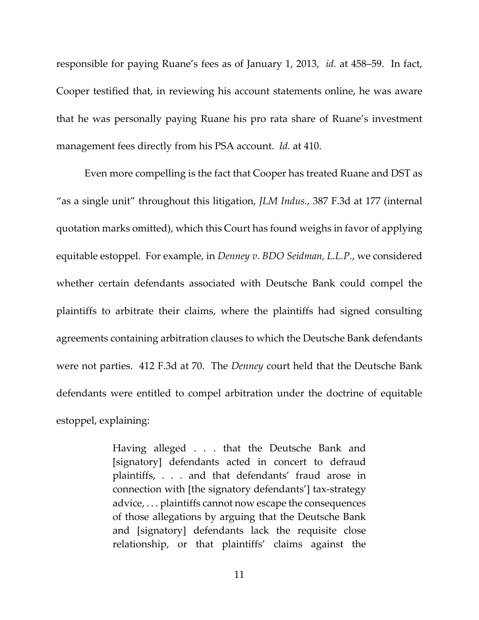responsible for paying Ruane's fees as of January 1, 2013, *id.* at 458–59. In fact, Cooper testified that, in reviewing his account statements online, he was aware that he was personally paying Ruane his pro rata share of Ruane's investment management fees directly from his PSA account. *Id.* at 410.

Even more compelling is the fact that Cooper has treated Ruane and DST as "as a single unit" throughout this litigation, *JLM Indus.*, 387 F.3d at 177 (internal quotation marks omitted), which this Court has found weighs in favor of applying equitable estoppel. For example, in *Denney v. BDO Seidman, L.L.P.*, we considered whether certain defendants associated with Deutsche Bank could compel the plaintiffs to arbitrate their claims, where the plaintiffs had signed consulting agreements containing arbitration clauses to which the Deutsche Bank defendants were not parties. 412 F.3d at 70. The *Denney* court held that the Deutsche Bank defendants were entitled to compel arbitration under the doctrine of equitable estoppel, explaining:

> Having alleged . . . that the Deutsche Bank and [signatory] defendants acted in concert to defraud plaintiffs, . . . and that defendants' fraud arose in connection with [the signatory defendants'] tax-strategy advice, . . . plaintiffs cannot now escape the consequences of those allegations by arguing that the Deutsche Bank and [signatory] defendants lack the requisite close relationship, or that plaintiffs' claims against the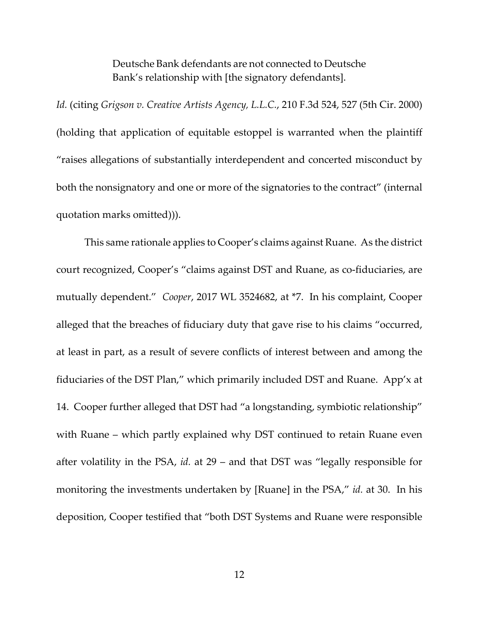Deutsche Bank defendants are not connected to Deutsche Bank's relationship with [the signatory defendants].

*Id.* (citing *Grigson v. Creative Artists Agency, L.L.C.*, 210 F.3d 524, 527 (5th Cir. 2000) (holding that application of equitable estoppel is warranted when the plaintiff "raises allegations of substantially interdependent and concerted misconduct by both the nonsignatory and one or more of the signatories to the contract" (internal quotation marks omitted))).

This same rationale applies to Cooper's claims against Ruane. As the district court recognized, Cooper's "claims against DST and Ruane, as co-fiduciaries, are mutually dependent." *Cooper*, 2017 WL 3524682, at \*7. In his complaint, Cooper alleged that the breaches of fiduciary duty that gave rise to his claims "occurred, at least in part, as a result of severe conflicts of interest between and among the fiduciaries of the DST Plan," which primarily included DST and Ruane. App'x at 14. Cooper further alleged that DST had "a longstanding, symbiotic relationship" with Ruane – which partly explained why DST continued to retain Ruane even after volatility in the PSA, *id.* at 29 – and that DST was "legally responsible for monitoring the investments undertaken by [Ruane] in the PSA," *id.* at 30. In his deposition, Cooper testified that "both DST Systems and Ruane were responsible